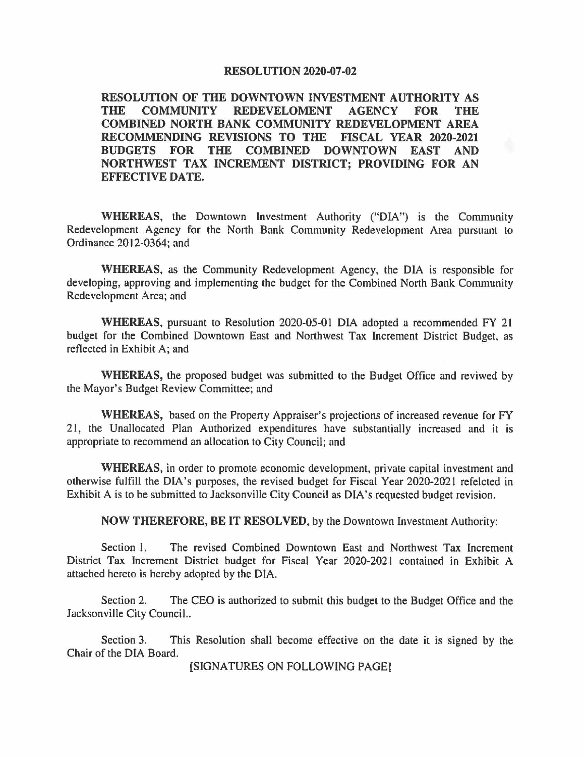## **RESOLUTION 2020-07-02**

**RESOLUTION OF THE DOWNTOWN INVESTMENT AUTHORITY AS**  REDEVELOMENT AGENCY FOR THE **COMBINED NORTH BANK COMMUNITY REDEVELOPMENT AREA RECOMMENDING REVISIONS TO THE FISCAL YEAR 2020-2021 BUDGETS FOR THE COMBINED DOWNTOWN EAST AND NORTHWEST TAX INCREMENT DISTRICT; PROVIDING FOR AN EFFECTIVE DA TE.** 

**WHEREAS,** the Downtown Investment Authority ("DIA") is the Community Redevelopment Agency for the North Bank Community Redevelopment Area pursuant to Ordinance 2012-0364; and

**WHEREAS,** as the Community Redevelopment Agency, the DIA is responsible for developing, approving and implementing the budget for the Combined North Bank Community Redevelopment Area; and

**WHEREAS,** pursuant to Resolution 2020-05-0 l DIA adopted a recommended FY 21 budget for the Combined Downtown East and Northwest Tax Increment District Budget, as reflected in Exhibit A; and

**WHEREAS,** the proposed budget was submitted to the Budget Office and reviwed by the Mayor's Budget Review Committee; and

**WHEREAS,** based on the Property Appraiser's projections of increased revenue for FY 21, the Unallocated Plan Authorized expenditures have substantially increased and it is appropriate to recommend an allocation to City Council; and

**WHEREAS,** in order to promote economic development, private capital investment and otherwise fulfill the DIA's purposes, the revised budget for Fiscal Year 2020-2021 refelcted in Exhibit A is to be submitted to Jacksonville City Council as DIA's requested budget revision.

**NOW THEREFORE, BE** IT **RESOLVED,** by the Downtown Investment Authority:

Section l. The revised Combined Downtown East and Northwest Tax Increment District Tax Increment District budget for Fiscal Year 2020-2021 contained in Exhibit A attached hereto is hereby adopted by the DIA.

Section 2. The CEO is authorized to submit this budget to the Budget Office and the Jacksonville City Council..

Section 3. This Resolution shall become effective on the date it is signed by the Chair of the DIA Board.

[SIGNATURES ON FOLLOWING PAGE]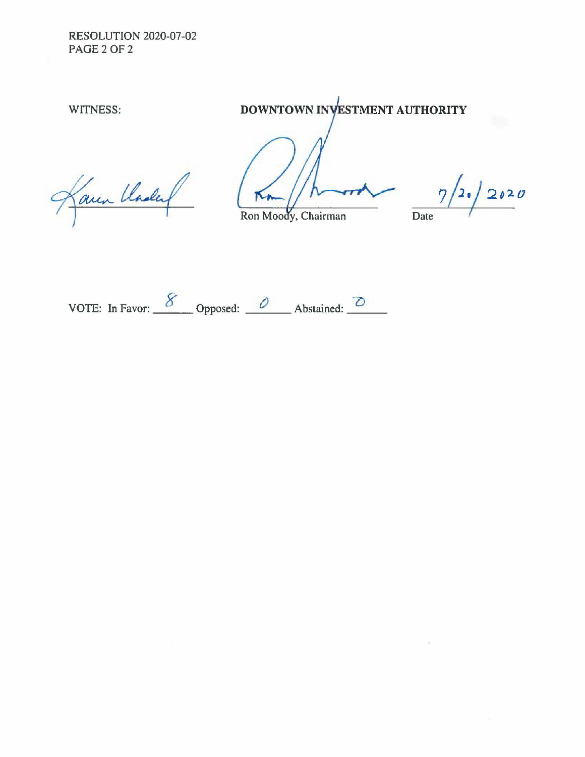RESOLUTION 2020-07-02 PAGE 2 Of 2

WITNESS: **DOWNTOWN INVESTMENT AUTHORITY** 

Laun Chalet

Ron Moody, Chairman

*?/2* ·/ **2,10**  Date

VOTE: In Favor:  $\frac{8}{\sqrt{2}}$  Opposed:  $\frac{0}{\sqrt{2}}$  Abstained:  $\frac{0}{\sqrt{2}}$